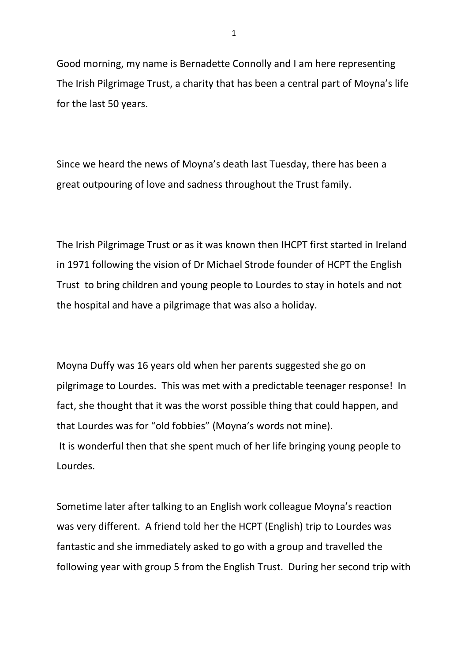Good morning, my name is Bernadette Connolly and I am here representing The Irish Pilgrimage Trust, a charity that has been a central part of Moyna's life for the last 50 years.

Since we heard the news of Moyna's death last Tuesday, there has been a great outpouring of love and sadness throughout the Trust family.

The Irish Pilgrimage Trust or as it was known then IHCPT first started in Ireland in 1971 following the vision of Dr Michael Strode founder of HCPT the English Trust to bring children and young people to Lourdes to stay in hotels and not the hospital and have a pilgrimage that was also a holiday.

Moyna Duffy was 16 years old when her parents suggested she go on pilgrimage to Lourdes. This was met with a predictable teenager response! In fact, she thought that it was the worst possible thing that could happen, and that Lourdes was for "old fobbies" (Moyna's words not mine). It is wonderful then that she spent much of her life bringing young people to Lourdes.

Sometime later after talking to an English work colleague Moyna's reaction was very different. A friend told her the HCPT (English) trip to Lourdes was fantastic and she immediately asked to go with a group and travelled the following year with group 5 from the English Trust. During her second trip with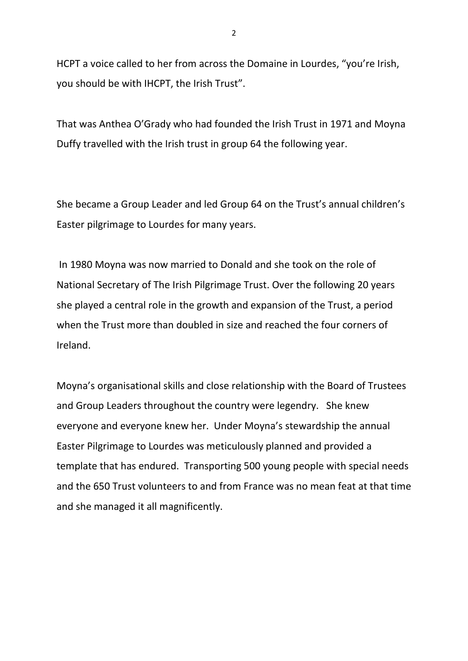HCPT a voice called to her from across the Domaine in Lourdes, "you're Irish, you should be with IHCPT, the Irish Trust".

That was Anthea O'Grady who had founded the Irish Trust in 1971 and Moyna Duffy travelled with the Irish trust in group 64 the following year.

She became a Group Leader and led Group 64 on the Trust's annual children's Easter pilgrimage to Lourdes for many years.

In 1980 Moyna was now married to Donald and she took on the role of National Secretary of The Irish Pilgrimage Trust. Over the following 20 years she played a central role in the growth and expansion of the Trust, a period when the Trust more than doubled in size and reached the four corners of Ireland.

Moyna's organisational skills and close relationship with the Board of Trustees and Group Leaders throughout the country were legendry. She knew everyone and everyone knew her. Under Moyna's stewardship the annual Easter Pilgrimage to Lourdes was meticulously planned and provided a template that has endured. Transporting 500 young people with special needs and the 650 Trust volunteers to and from France was no mean feat at that time and she managed it all magnificently.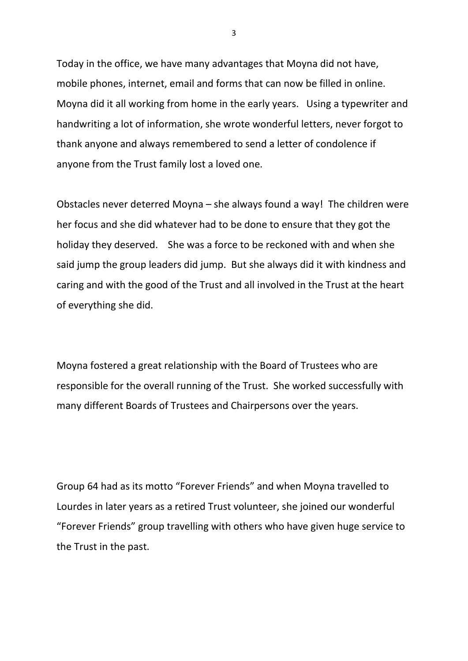Today in the office, we have many advantages that Moyna did not have, mobile phones, internet, email and forms that can now be filled in online. Moyna did it all working from home in the early years. Using a typewriter and handwriting a lot of information, she wrote wonderful letters, never forgot to thank anyone and always remembered to send a letter of condolence if anyone from the Trust family lost a loved one.

Obstacles never deterred Moyna – she always found a way! The children were her focus and she did whatever had to be done to ensure that they got the holiday they deserved. She was a force to be reckoned with and when she said jump the group leaders did jump. But she always did it with kindness and caring and with the good of the Trust and all involved in the Trust at the heart of everything she did.

Moyna fostered a great relationship with the Board of Trustees who are responsible for the overall running of the Trust. She worked successfully with many different Boards of Trustees and Chairpersons over the years.

Group 64 had as its motto "Forever Friends" and when Moyna travelled to Lourdes in later years as a retired Trust volunteer, she joined our wonderful "Forever Friends" group travelling with others who have given huge service to the Trust in the past.

3